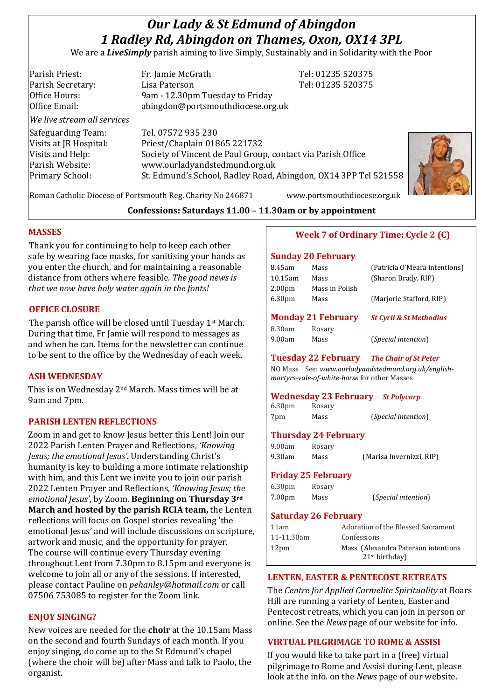# *Our Lady & St Edmund of Abingdon 1 Radley Rd, Abingdon on Thames, Oxon, OX14 3PL*

We are a *LiveSimply* parish aiming to live Simply, Sustainably and in Solidarity with the Poor

| Parish Priest:<br>Parish Secretary:<br>Office Hours:<br>Office Email:                                  | Fr. Jamie McGrath<br>Lisa Paterson<br>9am - 12.30pm Tuesday to Friday<br>abingdon@portsmouthdiocese.org.uk                                                                                                            | Tel: 01235 520375<br>Tel: 01235 520375 |
|--------------------------------------------------------------------------------------------------------|-----------------------------------------------------------------------------------------------------------------------------------------------------------------------------------------------------------------------|----------------------------------------|
| We live stream all services                                                                            |                                                                                                                                                                                                                       |                                        |
| Safeguarding Team:<br>Visits at JR Hospital:<br>Visits and Help:<br>Parish Website:<br>Primary School: | Tel. 07572 935 230<br>Priest/Chaplain 01865 221732<br>Society of Vincent de Paul Group, contact via Parish Office<br>www.ourladyandstedmund.org.uk<br>St. Edmund's School, Radley Road, Abingdon, OX14 3PP Tel 521558 |                                        |



Roman Catholic Diocese of Portsmouth Reg. Charity No 246871 www.portsmouthdiocese.org.uk

# **Confessions: Saturdays 11.00 – 11.30am or by appointment**

# **MASSES**

Thank you for continuing to help to keep each other safe by wearing face masks, for sanitising your hands as you enter the church, and for maintaining a reasonable distance from others where feasible. *The good news is that we now have holy water again in the fonts!*

#### **OFFICE CLOSURE**

The parish office will be closed until Tuesday 1<sup>st</sup> March. During that time, Fr Jamie will respond to messages as and when he can. Items for the newsletter can continue to be sent to the office by the Wednesday of each week.

# **ASH WEDNESDAY**

This is on Wednesday 2nd March. Mass times will be at 9am and 7pm.

# **PARISH LENTEN REFLECTIONS**

Zoom in and get to know Jesus better this Lent! Join our 2022 Parish Lenten Prayer and Reflections, *'Knowing Jesus; the emotional Jesus'.* Understanding Christ's humanity is key to building a more intimate relationship with him, and this Lent we invite you to join our parish 2022 Lenten Prayer and Reflections, *'Knowing Jesus; the emotional Jesus'*, by Zoom. **Beginning on Thursday 3rd March and hosted by the parish RCIA team,** the Lenten reflections will focus on Gospel stories revealing 'the emotional Jesus' and will include discussions on scripture, artwork and music, and the opportunity for prayer. The course will continue every Thursday evening throughout Lent from 7.30pm to 8.15pm and everyone is welcome to join all or any of the sessions. If interested, please contact Pauline on *pehanley@hotmail.com* or call 07506 753085 to register for the Zoom link.

# **ENJOY SINGING?**

New voices are needed for the **choir** at the 10.15am Mass on the second and fourth Sundays of each month. If you enjoy singing, do come up to the St Edmund's chapel (where the choir will be) after Mass and talk to Paolo, the organist.

# **Week 7 of Ordinary Time: Cycle 2 (C)**

#### **Sunday 20 February**

| 8.45am             | Mass           | (Patricia O'Meara intentions) |
|--------------------|----------------|-------------------------------|
| 10.15am            | Mass           | (Sharon Brady, RIP)           |
| 2.00pm             | Mass in Polish |                               |
| 6.30 <sub>pm</sub> | Mass           | (Marjorie Stafford, RIP)      |
|                    |                |                               |

# **Monday 21 February** *St Cyril & St Methodius*

8.30am Rosary 9.00am Mass (*Special intention*)

# **Tuesday 22 February** *The Chair of St Peter*

NO Mass See: *www.ourladyandstedmund.org.uk/englishmartyrs-vale-of-white-horse* for other Masses

#### **Wednesday 23 February** *St Polycarp*

6.30pm Rosary 7pm Mass (*Special intention*)

# **Thursday 24 February**

9.00am Rosary

9.30am Mass (Marisa Invernizzi, RIP)

# **Friday 25 February**

6.30pm Rosary 7.00pm Mass (*Special intention*)

#### **Saturday 26 February**

| 11am             | Adoration of the Blessed Sacrament                      |  |
|------------------|---------------------------------------------------------|--|
| 11-11.30am       | Confessions                                             |  |
| 12 <sub>pm</sub> | Mass (Alexandra Paterson intentions<br>$21st$ birthday) |  |

# **LENTEN, EASTER & PENTECOST RETREATS**

The *Centre for Applied Carmelite Spirituality* at Boars Hill are running a variety of Lenten, Easter and Pentecost retreats, which you can join in person or online. See the *News* page of our website for info.

# **VIRTUAL PILGRIMAGE TO ROME & ASSISI**

If you would like to take part in a (free) virtual pilgrimage to Rome and Assisi during Lent, please look at the info. on the *News* page of our website.